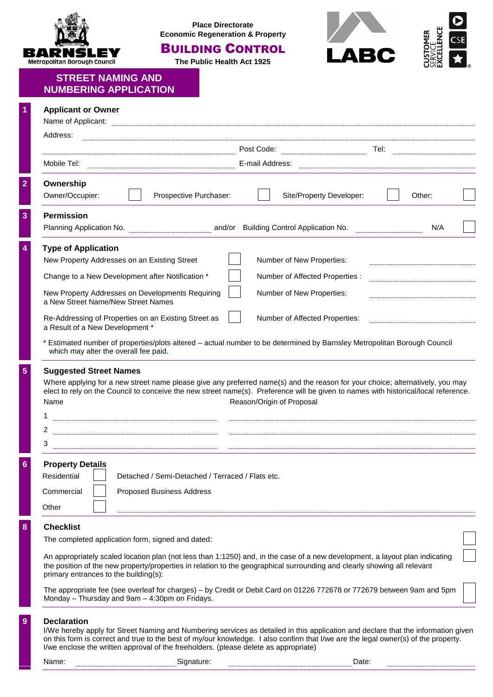

**Place Directorate Economic Regeneration & Property** 

# BUILDING CONTROL

**The Public Health Act 1925** 



| <b>STREET NAMING AND</b>     |  |
|------------------------------|--|
| <b>NUMBERING APPLICATION</b> |  |

|                                                                                           | Post Code:<br>Tel:                                                                                                                                                                                                                                                                                |
|-------------------------------------------------------------------------------------------|---------------------------------------------------------------------------------------------------------------------------------------------------------------------------------------------------------------------------------------------------------------------------------------------------|
| Mobile Tel:                                                                               | E-mail Address:                                                                                                                                                                                                                                                                                   |
| Ownership<br>Owner/Occupier:                                                              | Prospective Purchaser:<br>Site/Property Developer:<br>Other:                                                                                                                                                                                                                                      |
| <b>Permission</b>                                                                         |                                                                                                                                                                                                                                                                                                   |
| Planning Application No. <b>Planning</b> Application No.                                  | N/A<br>and/or Building Control Application No.                                                                                                                                                                                                                                                    |
| <b>Type of Application</b>                                                                |                                                                                                                                                                                                                                                                                                   |
| New Property Addresses on an Existing Street                                              | Number of New Properties:                                                                                                                                                                                                                                                                         |
| Change to a New Development after Notification *                                          | Number of Affected Properties :                                                                                                                                                                                                                                                                   |
| New Property Addresses on Developments Requiring<br>a New Street Name/New Street Names    | Number of New Properties:                                                                                                                                                                                                                                                                         |
| Re-Addressing of Properties on an Existing Street as<br>a Result of a New Development *   | Number of Affected Properties:                                                                                                                                                                                                                                                                    |
| which may alter the overall fee paid.                                                     | * Estimated number of properties/plots altered - actual number to be determined by Barnsley Metropolitan Borough Council                                                                                                                                                                          |
|                                                                                           |                                                                                                                                                                                                                                                                                                   |
|                                                                                           | Where applying for a new street name please give any preferred name(s) and the reason for your choice; alternatively, you may<br>elect to rely on the Council to conceive the new street name(s). Preference will be given to names with historical/local reference.<br>Reason/Origin of Proposal |
| <b>Suggested Street Names</b><br>Name<br>2<br>3<br><b>Property Details</b><br>Residential | Detached / Semi-Detached / Terraced / Flats etc.                                                                                                                                                                                                                                                  |
| <b>Proposed Business Address</b>                                                          |                                                                                                                                                                                                                                                                                                   |
| Commercial<br>Other<br><b>Checklist</b>                                                   |                                                                                                                                                                                                                                                                                                   |

The appropriate fee (see overleaf for charges) – by Credit or Debit Card on 01226 772678 or 772679 between 9am and 5pm Monday – Thursday and 9am – 4:30pm on Fridays.

#### **9 Declaration**

I/We hereby apply for Street Naming and Numbering services as detailed in this application and declare that the information given on this form is correct and true to the best of my/our knowledge. I also confirm that I/we are the legal owner(s) of the property. I/we enclose the written approval of the freeholders. (please delete as appropriate)